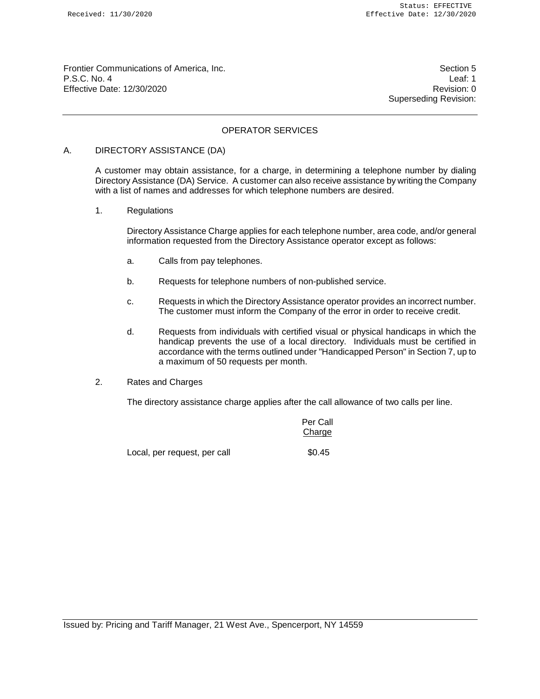Frontier Communications of America, Inc. Section 5 P.S.C. No. 4 Leaf: 1 Effective Date: 12/30/2020 Revision: 0

Superseding Revision:

# OPERATOR SERVICES

#### A. DIRECTORY ASSISTANCE (DA)

A customer may obtain assistance, for a charge, in determining a telephone number by dialing Directory Assistance (DA) Service. A customer can also receive assistance by writing the Company with a list of names and addresses for which telephone numbers are desired.

1. Regulations

Directory Assistance Charge applies for each telephone number, area code, and/or general information requested from the Directory Assistance operator except as follows:

- a. Calls from pay telephones.
- b. Requests for telephone numbers of non-published service.
- c. Requests in which the Directory Assistance operator provides an incorrect number. The customer must inform the Company of the error in order to receive credit.
- d. Requests from individuals with certified visual or physical handicaps in which the handicap prevents the use of a local directory. Individuals must be certified in accordance with the terms outlined under "Handicapped Person" in Section 7, up to a maximum of 50 requests per month.
- 2. Rates and Charges

The directory assistance charge applies after the call allowance of two calls per line.

Per Call Charge

Local, per request, per call  $$0.45$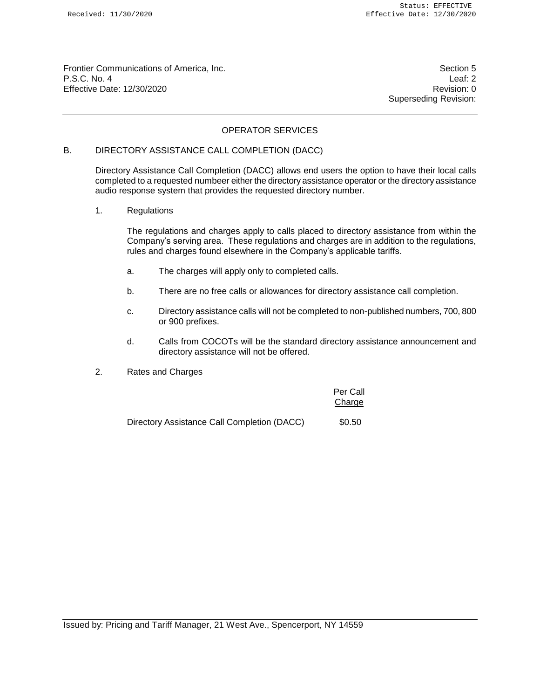Frontier Communications of America, Inc. Section 5 P.S.C. No. 4 Leaf: 2 Effective Date: 12/30/2020 **Revision: 0** 

Superseding Revision:

# OPERATOR SERVICES

# B. DIRECTORY ASSISTANCE CALL COMPLETION (DACC)

Directory Assistance Call Completion (DACC) allows end users the option to have their local calls completed to a requested numbeer either the directory assistance operator or the directory assistance audio response system that provides the requested directory number.

1. Regulations

The regulations and charges apply to calls placed to directory assistance from within the Company's serving area. These regulations and charges are in addition to the regulations, rules and charges found elsewhere in the Company's applicable tariffs.

- a. The charges will apply only to completed calls.
- b. There are no free calls or allowances for directory assistance call completion.
- c. Directory assistance calls will not be completed to non-published numbers, 700, 800 or 900 prefixes.
- d. Calls from COCOTs will be the standard directory assistance announcement and directory assistance will not be offered.
- 2. Rates and Charges

|                                             | Per Call<br>Charge |
|---------------------------------------------|--------------------|
| Directory Assistance Call Completion (DACC) | \$0.50             |